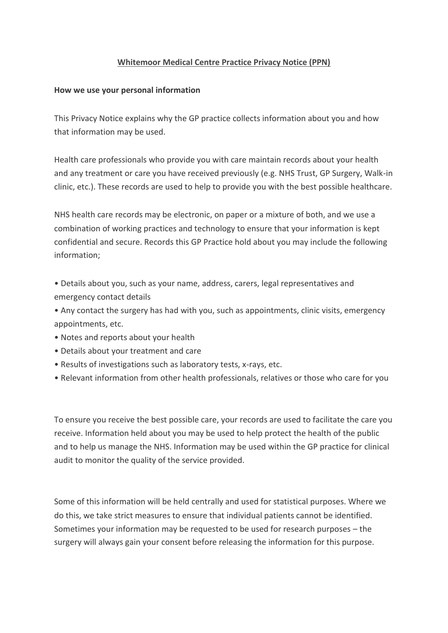# **Whitemoor Medical Centre Practice Privacy Notice (PPN)**

### **How we use your personal information**

This Privacy Notice explains why the GP practice collects information about you and how that information may be used.

Health care professionals who provide you with care maintain records about your health and any treatment or care you have received previously (e.g. NHS Trust, GP Surgery, Walk-in clinic, etc.). These records are used to help to provide you with the best possible healthcare.

NHS health care records may be electronic, on paper or a mixture of both, and we use a combination of working practices and technology to ensure that your information is kept confidential and secure. Records this GP Practice hold about you may include the following information;

- Details about you, such as your name, address, carers, legal representatives and emergency contact details
- Any contact the surgery has had with you, such as appointments, clinic visits, emergency appointments, etc.
- Notes and reports about your health
- Details about your treatment and care
- Results of investigations such as laboratory tests, x-rays, etc.
- Relevant information from other health professionals, relatives or those who care for you

To ensure you receive the best possible care, your records are used to facilitate the care you receive. Information held about you may be used to help protect the health of the public and to help us manage the NHS. Information may be used within the GP practice for clinical audit to monitor the quality of the service provided.

Some of this information will be held centrally and used for statistical purposes. Where we do this, we take strict measures to ensure that individual patients cannot be identified. Sometimes your information may be requested to be used for research purposes – the surgery will always gain your consent before releasing the information for this purpose.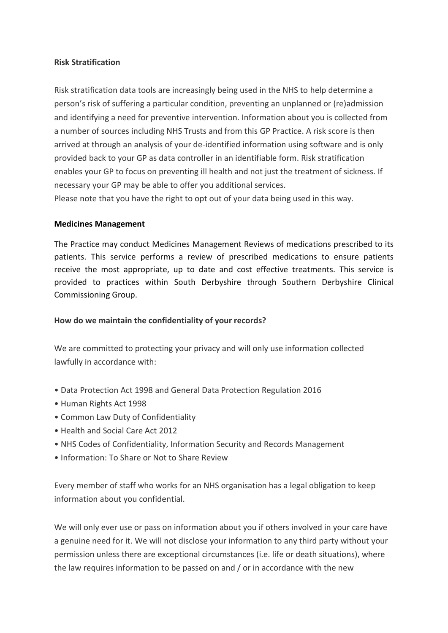### **Risk Stratification**

Risk stratification data tools are increasingly being used in the NHS to help determine a person's risk of suffering a particular condition, preventing an unplanned or (re)admission and identifying a need for preventive intervention. Information about you is collected from a number of sources including NHS Trusts and from this GP Practice. A risk score is then arrived at through an analysis of your de-identified information using software and is only provided back to your GP as data controller in an identifiable form. Risk stratification enables your GP to focus on preventing ill health and not just the treatment of sickness. If necessary your GP may be able to offer you additional services. Please note that you have the right to opt out of your data being used in this way.

#### **Medicines Management**

The Practice may conduct Medicines Management Reviews of medications prescribed to its patients. This service performs a review of prescribed medications to ensure patients receive the most appropriate, up to date and cost effective treatments. This service is provided to practices within South Derbyshire through Southern Derbyshire Clinical Commissioning Group.

### **How do we maintain the confidentiality of your records?**

We are committed to protecting your privacy and will only use information collected lawfully in accordance with:

- Data Protection Act 1998 and General Data Protection Regulation 2016
- Human Rights Act 1998
- Common Law Duty of Confidentiality
- Health and Social Care Act 2012
- NHS Codes of Confidentiality, Information Security and Records Management
- Information: To Share or Not to Share Review

Every member of staff who works for an NHS organisation has a legal obligation to keep information about you confidential.

We will only ever use or pass on information about you if others involved in your care have a genuine need for it. We will not disclose your information to any third party without your permission unless there are exceptional circumstances (i.e. life or death situations), where the law requires information to be passed on and / or in accordance with the new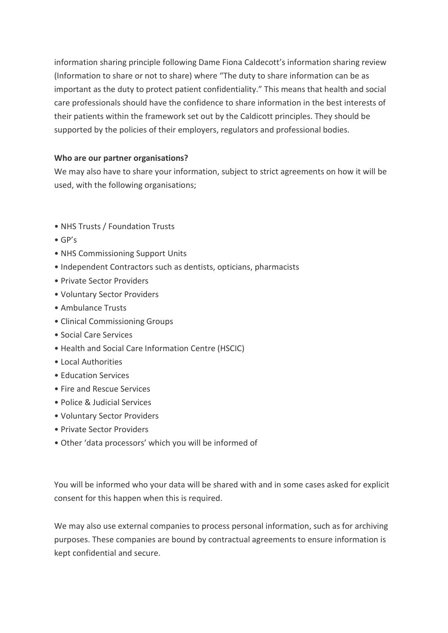information sharing principle following Dame Fiona Caldecott's information sharing review (Information to share or not to share) where "The duty to share information can be as important as the duty to protect patient confidentiality." This means that health and social care professionals should have the confidence to share information in the best interests of their patients within the framework set out by the Caldicott principles. They should be supported by the policies of their employers, regulators and professional bodies.

# **Who are our partner organisations?**

We may also have to share your information, subject to strict agreements on how it will be used, with the following organisations;

- NHS Trusts / Foundation Trusts
- GP's
- NHS Commissioning Support Units
- Independent Contractors such as dentists, opticians, pharmacists
- Private Sector Providers
- Voluntary Sector Providers
- Ambulance Trusts
- Clinical Commissioning Groups
- Social Care Services
- Health and Social Care Information Centre (HSCIC)
- Local Authorities
- Education Services
- Fire and Rescue Services
- Police & Judicial Services
- Voluntary Sector Providers
- Private Sector Providers
- Other 'data processors' which you will be informed of

You will be informed who your data will be shared with and in some cases asked for explicit consent for this happen when this is required.

We may also use external companies to process personal information, such as for archiving purposes. These companies are bound by contractual agreements to ensure information is kept confidential and secure.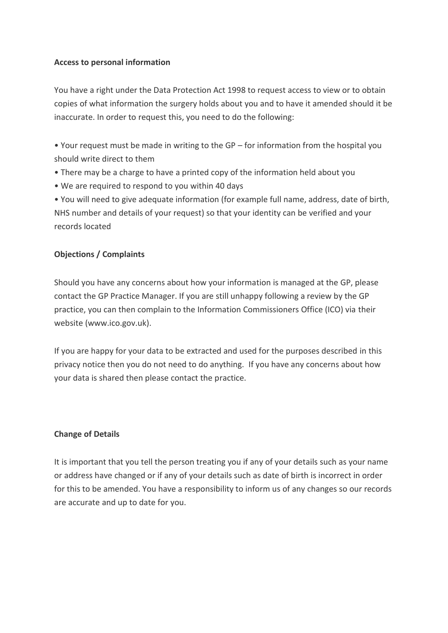## **Access to personal information**

You have a right under the Data Protection Act 1998 to request access to view or to obtain copies of what information the surgery holds about you and to have it amended should it be inaccurate. In order to request this, you need to do the following:

• Your request must be made in writing to the GP – for information from the hospital you should write direct to them

- There may be a charge to have a printed copy of the information held about you
- We are required to respond to you within 40 days

• You will need to give adequate information (for example full name, address, date of birth, NHS number and details of your request) so that your identity can be verified and your records located

# **Objections / Complaints**

Should you have any concerns about how your information is managed at the GP, please contact the GP Practice Manager. If you are still unhappy following a review by the GP practice, you can then complain to the Information Commissioners Office (ICO) via their website (www.ico.gov.uk).

If you are happy for your data to be extracted and used for the purposes described in this privacy notice then you do not need to do anything. If you have any concerns about how your data is shared then please contact the practice.

# **Change of Details**

It is important that you tell the person treating you if any of your details such as your name or address have changed or if any of your details such as date of birth is incorrect in order for this to be amended. You have a responsibility to inform us of any changes so our records are accurate and up to date for you.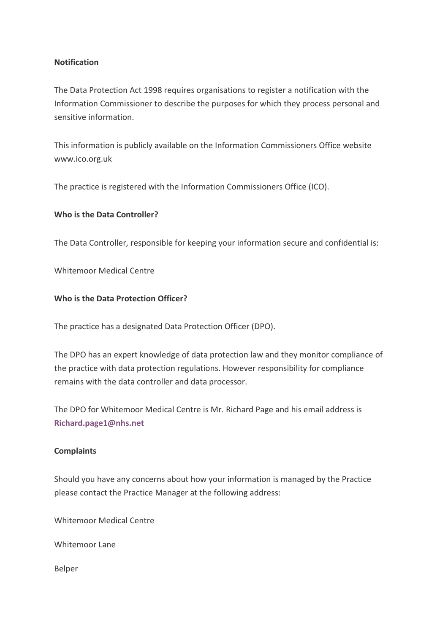### **Notification**

The Data Protection Act 1998 requires organisations to register a notification with the Information Commissioner to describe the purposes for which they process personal and sensitive information.

This information is publicly available on the Information Commissioners Office website www.ico.org.uk

The practice is registered with the Information Commissioners Office (ICO).

# **Who is the Data Controller?**

The Data Controller, responsible for keeping your information secure and confidential is:

Whitemoor Medical Centre

## **Who is the Data Protection Officer?**

The practice has a designated Data Protection Officer (DPO).

The DPO has an expert knowledge of data protection law and they monitor compliance of the practice with data protection regulations. However responsibility for compliance remains with the data controller and data processor.

The DPO for Whitemoor Medical Centre is Mr. Richard Page and his email address is **[Richard.page1@nhs.net](mailto:Richard.page1@nhs.net)**

### **Complaints**

Should you have any concerns about how your information is managed by the Practice please contact the Practice Manager at the following address:

Whitemoor Medical Centre

Whitemoor Lane

Belper